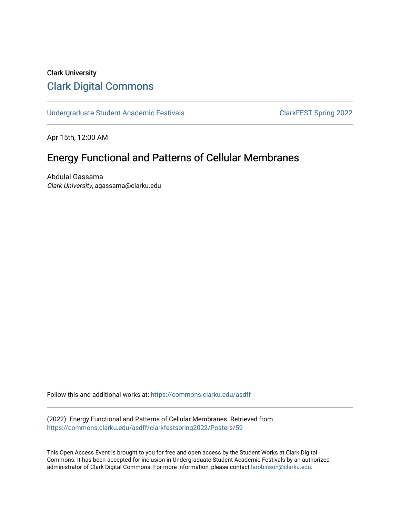#### Clark University [Clark Digital Commons](https://commons.clarku.edu/)

[Undergraduate Student Academic Festivals](https://commons.clarku.edu/asdff) ClarkFEST Spring 2022

Apr 15th, 12:00 AM

#### Energy Functional and Patterns of Cellular Membranes

Abdulai Gassama Clark University, agassama@clarku.edu

Follow this and additional works at: [https://commons.clarku.edu/asdff](https://commons.clarku.edu/asdff?utm_source=commons.clarku.edu%2Fasdff%2Fclarkfestspring2022%2FPosters%2F59&utm_medium=PDF&utm_campaign=PDFCoverPages)

(2022). Energy Functional and Patterns of Cellular Membranes. Retrieved from [https://commons.clarku.edu/asdff/clarkfestspring2022/Posters/59](https://commons.clarku.edu/asdff/clarkfestspring2022/Posters/59?utm_source=commons.clarku.edu%2Fasdff%2Fclarkfestspring2022%2FPosters%2F59&utm_medium=PDF&utm_campaign=PDFCoverPages) 

This Open Access Event is brought to you for free and open access by the Student Works at Clark Digital Commons. It has been accepted for inclusion in Undergraduate Student Academic Festivals by an authorized administrator of Clark Digital Commons. For more information, please contact [larobinson@clarku.edu](mailto:larobinson@clarku.edu).